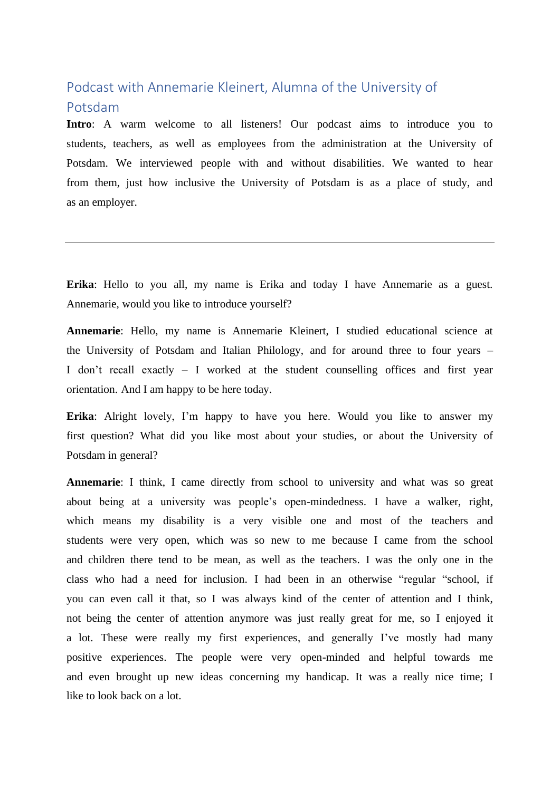## Podcast with Annemarie Kleinert, Alumna of the University of Potsdam

**Intro**: A warm welcome to all listeners! Our podcast aims to introduce you to students, teachers, as well as employees from the administration at the University of Potsdam. We interviewed people with and without disabilities. We wanted to hear from them, just how inclusive the University of Potsdam is as a place of study, and as an employer.

**Erika**: Hello to you all, my name is Erika and today I have Annemarie as a guest. Annemarie, would you like to introduce yourself?

**Annemarie**: Hello, my name is Annemarie Kleinert, I studied educational science at the University of Potsdam and Italian Philology, and for around three to four years – I don't recall exactly – I worked at the student counselling offices and first year orientation. And I am happy to be here today.

**Erika**: Alright lovely, I'm happy to have you here. Would you like to answer my first question? What did you like most about your studies, or about the University of Potsdam in general?

**Annemarie**: I think, I came directly from school to university and what was so great about being at a university was people's open-mindedness. I have a walker, right, which means my disability is a very visible one and most of the teachers and students were very open, which was so new to me because I came from the school and children there tend to be mean, as well as the teachers. I was the only one in the class who had a need for inclusion. I had been in an otherwise "regular "school, if you can even call it that, so I was always kind of the center of attention and I think, not being the center of attention anymore was just really great for me, so I enjoyed it a lot. These were really my first experiences, and generally I've mostly had many positive experiences. The people were very open-minded and helpful towards me and even brought up new ideas concerning my handicap. It was a really nice time; I like to look back on a lot.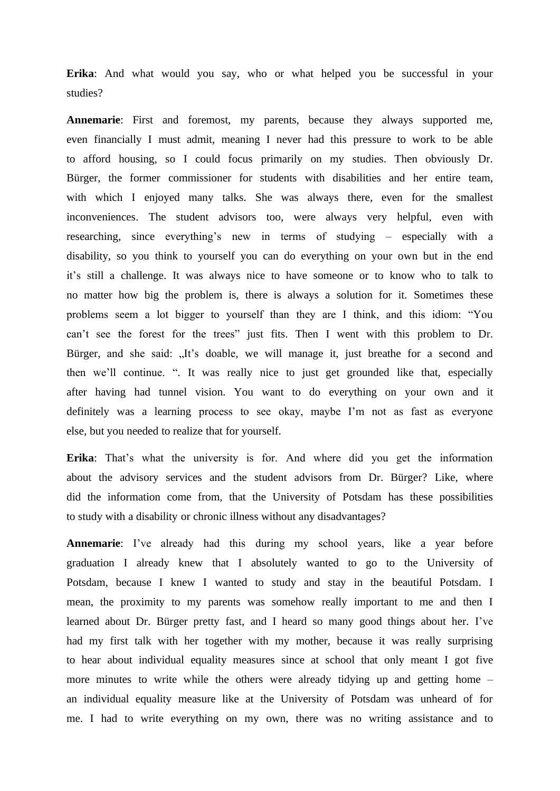**Erika**: And what would you say, who or what helped you be successful in your studies?

**Annemarie**: First and foremost, my parents, because they always supported me, even financially I must admit, meaning I never had this pressure to work to be able to afford housing, so I could focus primarily on my studies. Then obviously Dr. Bürger, the former commissioner for students with disabilities and her entire team, with which I enjoyed many talks. She was always there, even for the smallest inconveniences. The student advisors too, were always very helpful, even with researching, since everything's new in terms of studying – especially with a disability, so you think to yourself you can do everything on your own but in the end it's still a challenge. It was always nice to have someone or to know who to talk to no matter how big the problem is, there is always a solution for it. Sometimes these problems seem a lot bigger to yourself than they are I think, and this idiom: "You can't see the forest for the trees" just fits. Then I went with this problem to Dr. Bürger, and she said: "It's doable, we will manage it, just breathe for a second and then we'll continue. ". It was really nice to just get grounded like that, especially after having had tunnel vision. You want to do everything on your own and it definitely was a learning process to see okay, maybe I'm not as fast as everyone else, but you needed to realize that for yourself.

**Erika**: That's what the university is for. And where did you get the information about the advisory services and the student advisors from Dr. Bürger? Like, where did the information come from, that the University of Potsdam has these possibilities to study with a disability or chronic illness without any disadvantages?

**Annemarie**: I've already had this during my school years, like a year before graduation I already knew that I absolutely wanted to go to the University of Potsdam, because I knew I wanted to study and stay in the beautiful Potsdam. I mean, the proximity to my parents was somehow really important to me and then I learned about Dr. Bürger pretty fast, and I heard so many good things about her. I've had my first talk with her together with my mother, because it was really surprising to hear about individual equality measures since at school that only meant I got five more minutes to write while the others were already tidying up and getting home – an individual equality measure like at the University of Potsdam was unheard of for me. I had to write everything on my own, there was no writing assistance and to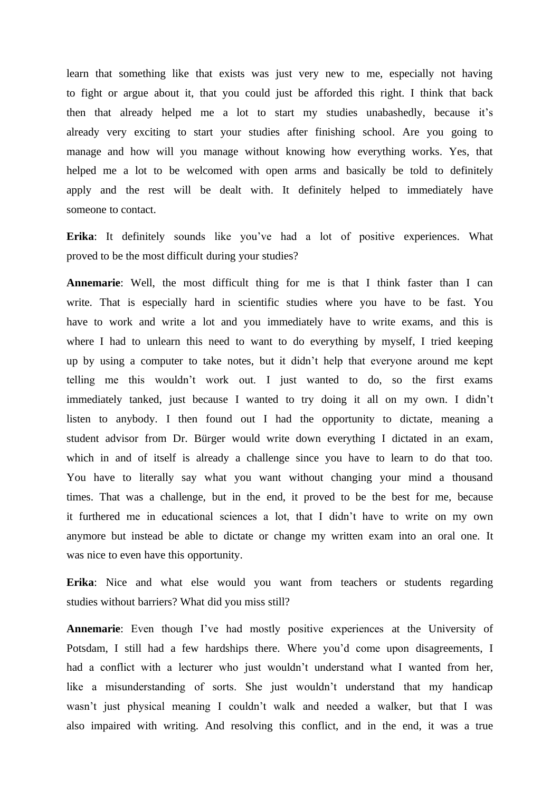learn that something like that exists was just very new to me, especially not having to fight or argue about it, that you could just be afforded this right. I think that back then that already helped me a lot to start my studies unabashedly, because it's already very exciting to start your studies after finishing school. Are you going to manage and how will you manage without knowing how everything works. Yes, that helped me a lot to be welcomed with open arms and basically be told to definitely apply and the rest will be dealt with. It definitely helped to immediately have someone to contact.

**Erika**: It definitely sounds like you've had a lot of positive experiences. What proved to be the most difficult during your studies?

**Annemarie**: Well, the most difficult thing for me is that I think faster than I can write. That is especially hard in scientific studies where you have to be fast. You have to work and write a lot and you immediately have to write exams, and this is where I had to unlearn this need to want to do everything by myself, I tried keeping up by using a computer to take notes, but it didn't help that everyone around me kept telling me this wouldn't work out. I just wanted to do, so the first exams immediately tanked, just because I wanted to try doing it all on my own. I didn't listen to anybody. I then found out I had the opportunity to dictate, meaning a student advisor from Dr. Bürger would write down everything I dictated in an exam, which in and of itself is already a challenge since you have to learn to do that too. You have to literally say what you want without changing your mind a thousand times. That was a challenge, but in the end, it proved to be the best for me, because it furthered me in educational sciences a lot, that I didn't have to write on my own anymore but instead be able to dictate or change my written exam into an oral one. It was nice to even have this opportunity.

**Erika**: Nice and what else would you want from teachers or students regarding studies without barriers? What did you miss still?

**Annemarie**: Even though I've had mostly positive experiences at the University of Potsdam, I still had a few hardships there. Where you'd come upon disagreements, I had a conflict with a lecturer who just wouldn't understand what I wanted from her, like a misunderstanding of sorts. She just wouldn't understand that my handicap wasn't just physical meaning I couldn't walk and needed a walker, but that I was also impaired with writing. And resolving this conflict, and in the end, it was a true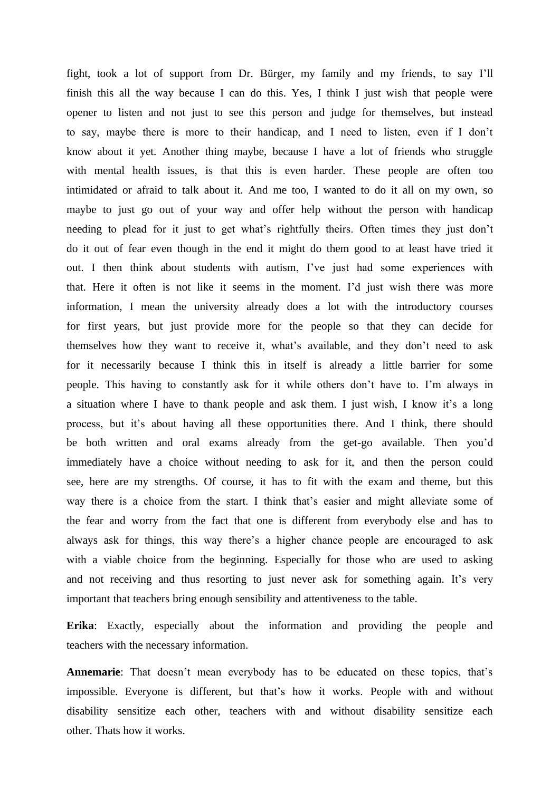fight, took a lot of support from Dr. Bürger, my family and my friends, to say I'll finish this all the way because I can do this. Yes, I think I just wish that people were opener to listen and not just to see this person and judge for themselves, but instead to say, maybe there is more to their handicap, and I need to listen, even if I don't know about it yet. Another thing maybe, because I have a lot of friends who struggle with mental health issues, is that this is even harder. These people are often too intimidated or afraid to talk about it. And me too, I wanted to do it all on my own, so maybe to just go out of your way and offer help without the person with handicap needing to plead for it just to get what's rightfully theirs. Often times they just don't do it out of fear even though in the end it might do them good to at least have tried it out. I then think about students with autism, I've just had some experiences with that. Here it often is not like it seems in the moment. I'd just wish there was more information, I mean the university already does a lot with the introductory courses for first years, but just provide more for the people so that they can decide for themselves how they want to receive it, what's available, and they don't need to ask for it necessarily because I think this in itself is already a little barrier for some people. This having to constantly ask for it while others don't have to. I'm always in a situation where I have to thank people and ask them. I just wish, I know it's a long process, but it's about having all these opportunities there. And I think, there should be both written and oral exams already from the get-go available. Then you'd immediately have a choice without needing to ask for it, and then the person could see, here are my strengths. Of course, it has to fit with the exam and theme, but this way there is a choice from the start. I think that's easier and might alleviate some of the fear and worry from the fact that one is different from everybody else and has to always ask for things, this way there's a higher chance people are encouraged to ask with a viable choice from the beginning. Especially for those who are used to asking and not receiving and thus resorting to just never ask for something again. It's very important that teachers bring enough sensibility and attentiveness to the table.

**Erika**: Exactly, especially about the information and providing the people and teachers with the necessary information.

**Annemarie**: That doesn't mean everybody has to be educated on these topics, that's impossible. Everyone is different, but that's how it works. People with and without disability sensitize each other, teachers with and without disability sensitize each other. Thats how it works.